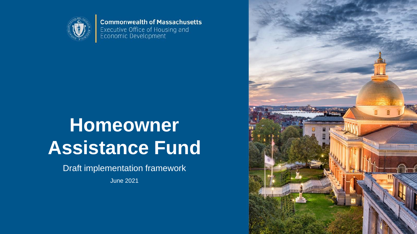

**Commonwealth of Massachusetts** Executive Office of Housing and<br>Economic Development

# **Homeowner Assistance Fund**

Draft implementation framework

June 2021

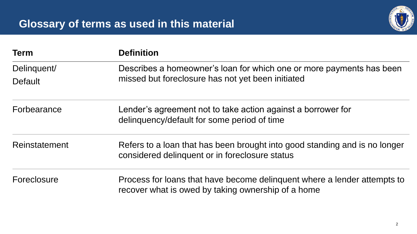

| <b>Term</b>                   | <b>Definition</b>                                                                                                              |  |  |
|-------------------------------|--------------------------------------------------------------------------------------------------------------------------------|--|--|
| Delinguent/<br><b>Default</b> | Describes a homeowner's loan for which one or more payments has been<br>missed but foreclosure has not yet been initiated      |  |  |
| Forbearance                   | Lender's agreement not to take action against a borrower for<br>delinquency/default for some period of time                    |  |  |
| Reinstatement                 | Refers to a loan that has been brought into good standing and is no longer<br>considered delinquent or in foreclosure status   |  |  |
| Foreclosure                   | Process for loans that have become delinguent where a lender attempts to<br>recover what is owed by taking ownership of a home |  |  |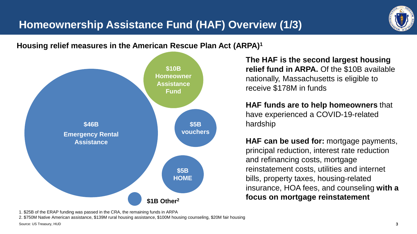

### **Housing relief measures in the American Rescue Plan Act (ARPA)<sup>1</sup>**



**The HAF is the second largest housing relief fund in ARPA.** Of the \$10B available nationally, Massachusetts is eligible to receive \$178M in funds

**HAF funds are to help homeowners** that have experienced a COVID-19-related hardship

**HAF can be used for:** mortgage payments, principal reduction, interest rate reduction and refinancing costs, mortgage reinstatement costs, utilities and internet bills, property taxes, housing-related insurance, HOA fees, and counseling **with a focus on mortgage reinstatement**

1. \$25B of the ERAP funding was passed in the CRA, the remaining funds in ARPA

2. \$750M Native American assistance, \$139M rural housing assistance, \$100M housing counseling, \$20M fair housing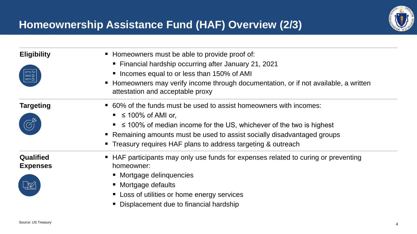

| <b>Eligibility</b><br><b>GEM</b><br>$\equiv$  | • Homeowners must be able to provide proof of:<br>• Financial hardship occurring after January 21, 2021<br>• Incomes equal to or less than 150% of AMI<br>• Homeowners may verify income through documentation, or if not available, a written<br>attestation and acceptable proxy                                                   |
|-----------------------------------------------|--------------------------------------------------------------------------------------------------------------------------------------------------------------------------------------------------------------------------------------------------------------------------------------------------------------------------------------|
| <b>Targeting</b>                              | • 60% of the funds must be used to assist homeowners with incomes:<br>$\leq$ 100% of AMI or,<br>$\blacksquare$ $\leq$ 100% of median income for the US, whichever of the two is highest<br>• Remaining amounts must be used to assist socially disadvantaged groups<br>• Treasury requires HAF plans to address targeting & outreach |
| Qualified<br><b>Expenses</b><br>$\frac{1}{2}$ | • HAF participants may only use funds for expenses related to curing or preventing<br>homeowner:<br>• Mortgage delinquencies<br>• Mortgage defaults<br>• Loss of utilities or home energy services<br>• Displacement due to financial hardship                                                                                       |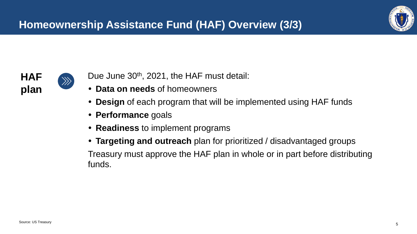



 $\gg$ 

- Due June 30<sup>th</sup>, 2021, the HAF must detail:
- **Data on needs** of homeowners
- **Design** of each program that will be implemented using HAF funds
- **Performance** goals
- **Readiness** to implement programs
- **Targeting and outreach** plan for prioritized / disadvantaged groups

Treasury must approve the HAF plan in whole or in part before distributing funds.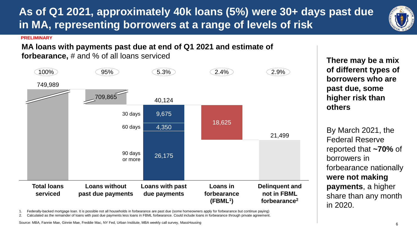Source: MBA, Fannie Mae, Ginnie Mae, Freddie Mac, NY Fed, Urban Institute, MBA weekly call survey, MassHousing

### forbearance nationally **were not making payments**, a higher

**borrowers who are past due, some higher risk than others**

By March 2021, the

reported that **~70%** of

share than any month

Federal Reserve

borrowers in

in 2020.

**There may be a mix of different types of** 

**PRELIMINARY**

**MA loans with payments past due at end of Q1 2021 and estimate of** 

**in MA, representing borrowers at a range of levels of risk**

 $100\%$  (95%) 5.3% (2.4%) 2.4% (2.9%)

**forbearance,** # and % of all loans serviced



**As of Q1 2021, approximately 40k loans (5%) were 30+ days past due**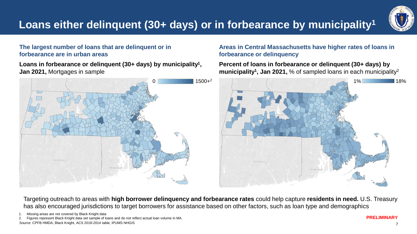

### **The largest number of loans that are delinquent or in forbearance are in urban areas**

**Loans in forbearance or delinquent (30+ days) by municipality<sup>1</sup> , Jan 2021,** Mortgages in sample



### **Areas in Central Massachusetts have higher rates of loans in forbearance or delinquency**

**Percent of loans in forbearance or delinquent (30+ days) by municipality<sup>1</sup> , Jan 2021,** % of sampled loans in each municipality<sup>2</sup>



Targeting outreach to areas with **high borrower delinquency and forbearance rates** could help capture **residents in need.** U.S. Treasury has also encouraged jurisdictions to target borrowers for assistance based on other factors, such as loan type and demographics

Source: CPFB HMDA, Black Knight, ACS 2018-2014 table, IPUMS NHGIS 2. Figures represent Black Knight data set sample of loans and do not reflect actual loan volume in MA.

<sup>1.</sup> Missing areas are not covered by Black Knight data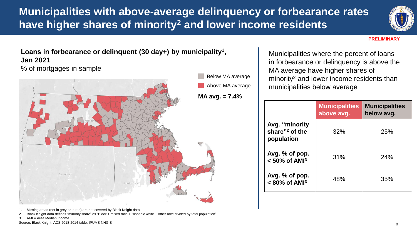**Municipalities with above-average delinquency or forbearance rates have higher shares of minority<sup>2</sup> and lower income residents**



#### **PRELIMINARY**

**Loans in forbearance or delinquent (30 day+) by municipality<sup>1</sup> , Jan 2021**

% of mortgages in sample



Municipalities where the percent of loans in forbearance or delinquency is above the MA average have higher shares of minority<sup>2</sup> and lower income residents than municipalities below average

|                                                            | <b>Municipalities</b><br>above avg. | <b>Municipalities</b><br>below avg. |
|------------------------------------------------------------|-------------------------------------|-------------------------------------|
| Avg. "minority<br>share" <sup>2</sup> of the<br>population | 32%                                 | 25%                                 |
| Avg. % of pop.<br>$< 50\%$ of AMI <sup>3</sup>             | 31%                                 | 24%                                 |
| Avg. $%$ of pop.<br>$< 80\%$ of AMI <sup>3</sup>           | 48%                                 | 35%                                 |

Missing areas (not in grey or in red) are not covered by Black Knight data

2. Black Knight data defines "minority share" as "Black + mixed race + Hispanic white + other race divided by total population"

3. AMI = Area Median Income

Source: Black Knight, ACS 2018-2014 table, IPUMS NHGIS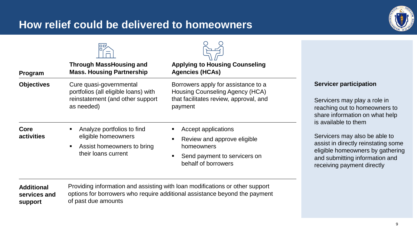### **How relief could be delivered to homeowners**



| Program                                                                                                                                | <b>Through MassHousing and</b><br><b>Mass. Housing Partnership</b>                                                       | <b>Applying to Housing Counseling</b><br><b>Agencies (HCAs)</b>                                                                                            |                                                                                                                                                                          |
|----------------------------------------------------------------------------------------------------------------------------------------|--------------------------------------------------------------------------------------------------------------------------|------------------------------------------------------------------------------------------------------------------------------------------------------------|--------------------------------------------------------------------------------------------------------------------------------------------------------------------------|
| <b>Objectives</b><br>Cure quasi-governmental<br>portfolios (all eligible loans) with<br>reinstatement (and other support<br>as needed) |                                                                                                                          | Borrowers apply for assistance to a<br>Housing Counseling Agency (HCA)<br>that facilitates review, approval, and<br>payment                                | <b>Servicer participation</b><br>Servicers may play a role in<br>reaching out to homeowners to<br>share information on what help<br>is available to them                 |
| Core<br>activities                                                                                                                     | Analyze portfolios to find<br>eligible homeowners<br>Assist homeowners to bring<br>$\blacksquare$<br>their loans current | Accept applications<br>Review and approve eligible<br>homeowners<br>Send payment to servicers on<br>behalf of borrowers                                    | Servicers may also be able to<br>assist in directly reinstating some<br>eligible homeowners by gathering<br>and submitting information and<br>receiving payment directly |
| <b>Additional</b><br>services and<br><b>support</b>                                                                                    | of past due amounts                                                                                                      | Providing information and assisting with loan modifications or other support<br>options for borrowers who require additional assistance beyond the payment |                                                                                                                                                                          |